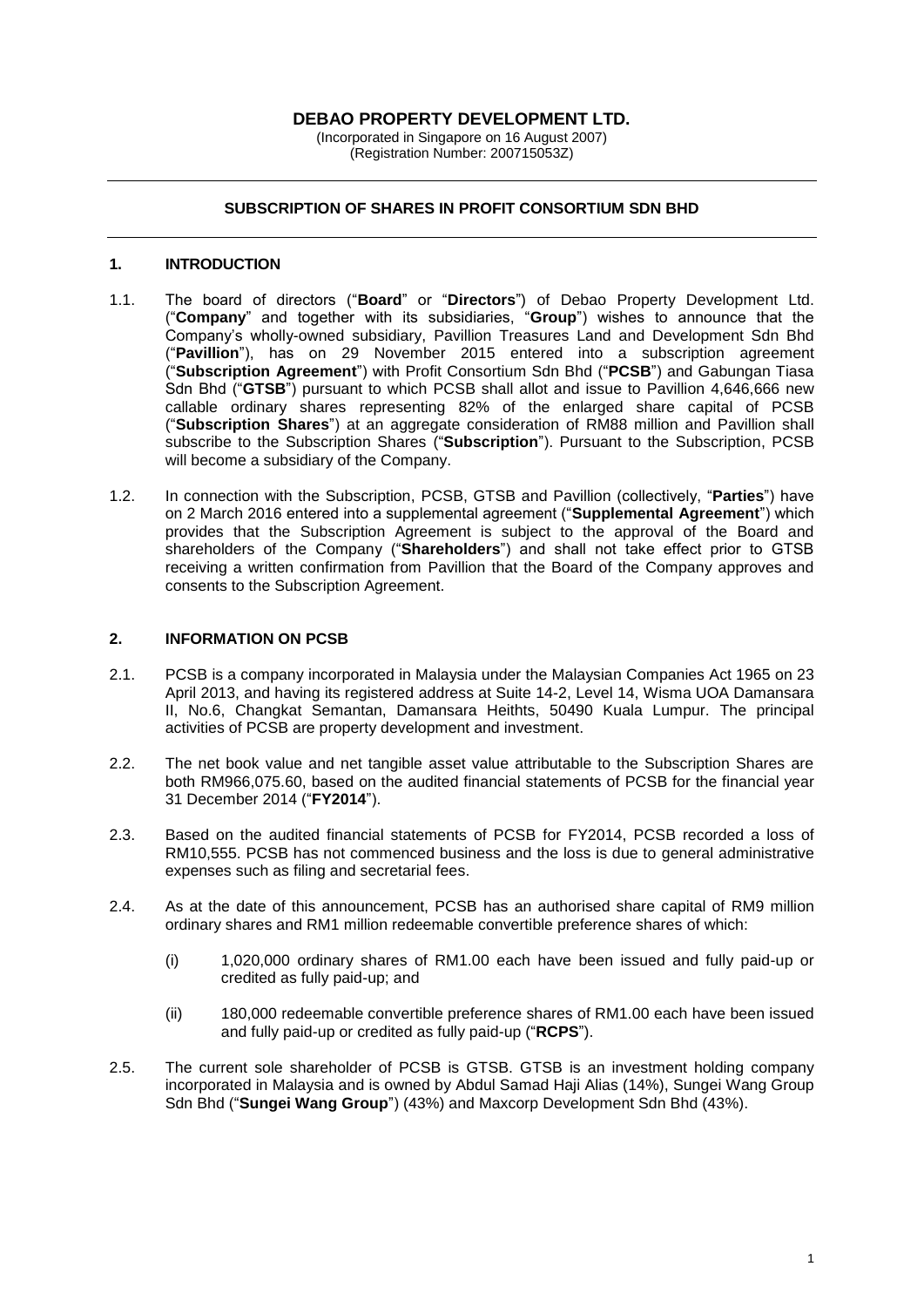## **DEBAO PROPERTY DEVELOPMENT LTD.**

(Incorporated in Singapore on 16 August 2007) (Registration Number: 200715053Z)

### **SUBSCRIPTION OF SHARES IN PROFIT CONSORTIUM SDN BHD**

#### **1. INTRODUCTION**

- 1.1. The board of directors ("**Board**" or "**Directors**") of Debao Property Development Ltd. ("**Company**" and together with its subsidiaries, "**Group**") wishes to announce that the Company's wholly-owned subsidiary, Pavillion Treasures Land and Development Sdn Bhd ("**Pavillion**"), has on 29 November 2015 entered into a subscription agreement ("**Subscription Agreement**") with Profit Consortium Sdn Bhd ("**PCSB**") and Gabungan Tiasa Sdn Bhd ("**GTSB**") pursuant to which PCSB shall allot and issue to Pavillion 4,646,666 new callable ordinary shares representing 82% of the enlarged share capital of PCSB ("**Subscription Shares**") at an aggregate consideration of RM88 million and Pavillion shall subscribe to the Subscription Shares ("**Subscription**"). Pursuant to the Subscription, PCSB will become a subsidiary of the Company.
- 1.2. In connection with the Subscription, PCSB, GTSB and Pavillion (collectively, "**Parties**") have on 2 March 2016 entered into a supplemental agreement ("**Supplemental Agreement**") which provides that the Subscription Agreement is subject to the approval of the Board and shareholders of the Company ("**Shareholders**") and shall not take effect prior to GTSB receiving a written confirmation from Pavillion that the Board of the Company approves and consents to the Subscription Agreement.

#### **2. INFORMATION ON PCSB**

- 2.1. PCSB is a company incorporated in Malaysia under the Malaysian Companies Act 1965 on 23 April 2013, and having its registered address at Suite 14-2, Level 14, Wisma UOA Damansara II, No.6, Changkat Semantan, Damansara Heithts, 50490 Kuala Lumpur. The principal activities of PCSB are property development and investment.
- 2.2. The net book value and net tangible asset value attributable to the Subscription Shares are both RM966,075.60, based on the audited financial statements of PCSB for the financial year 31 December 2014 ("**FY2014**").
- 2.3. Based on the audited financial statements of PCSB for FY2014, PCSB recorded a loss of RM10,555. PCSB has not commenced business and the loss is due to general administrative expenses such as filing and secretarial fees.
- 2.4. As at the date of this announcement, PCSB has an authorised share capital of RM9 million ordinary shares and RM1 million redeemable convertible preference shares of which:
	- (i) 1,020,000 ordinary shares of RM1.00 each have been issued and fully paid-up or credited as fully paid-up; and
	- (ii) 180,000 redeemable convertible preference shares of RM1.00 each have been issued and fully paid-up or credited as fully paid-up ("**RCPS**").
- 2.5. The current sole shareholder of PCSB is GTSB. GTSB is an investment holding company incorporated in Malaysia and is owned by Abdul Samad Haji Alias (14%), Sungei Wang Group Sdn Bhd ("**Sungei Wang Group**") (43%) and Maxcorp Development Sdn Bhd (43%).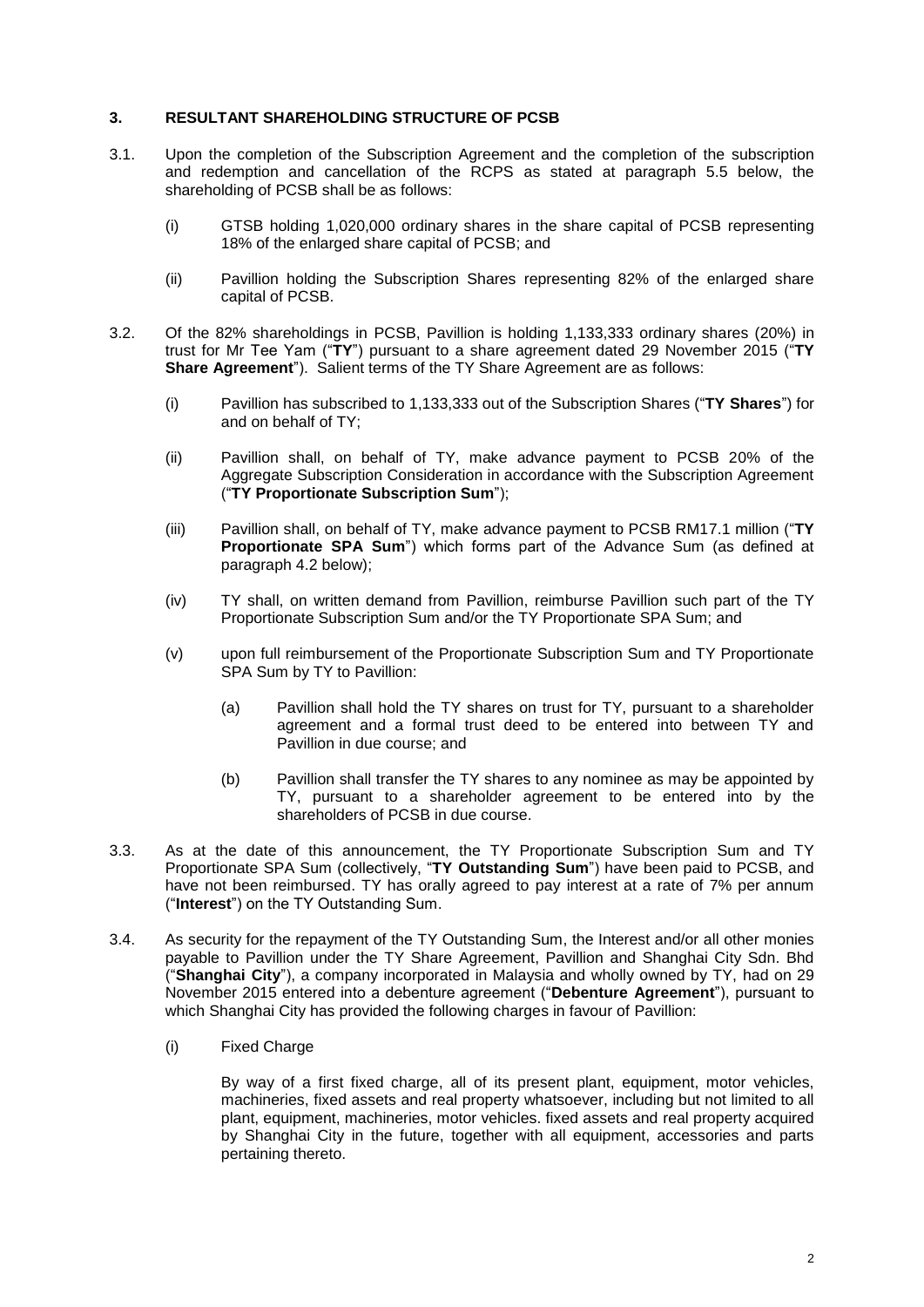## **3. RESULTANT SHAREHOLDING STRUCTURE OF PCSB**

- 3.1. Upon the completion of the Subscription Agreement and the completion of the subscription and redemption and cancellation of the RCPS as stated at paragraph 5.5 below, the shareholding of PCSB shall be as follows:
	- (i) GTSB holding 1,020,000 ordinary shares in the share capital of PCSB representing 18% of the enlarged share capital of PCSB; and
	- (ii) Pavillion holding the Subscription Shares representing 82% of the enlarged share capital of PCSB.
- 3.2. Of the 82% shareholdings in PCSB, Pavillion is holding 1,133,333 ordinary shares (20%) in trust for Mr Tee Yam ("**TY**") pursuant to a share agreement dated 29 November 2015 ("**TY Share Agreement**"). Salient terms of the TY Share Agreement are as follows:
	- (i) Pavillion has subscribed to 1,133,333 out of the Subscription Shares ("**TY Shares**") for and on behalf of TY;
	- (ii) Pavillion shall, on behalf of TY, make advance payment to PCSB 20% of the Aggregate Subscription Consideration in accordance with the Subscription Agreement ("**TY Proportionate Subscription Sum**");
	- (iii) Pavillion shall, on behalf of TY, make advance payment to PCSB RM17.1 million ("**TY Proportionate SPA Sum**") which forms part of the Advance Sum (as defined at paragraph 4.2 below);
	- (iv) TY shall, on written demand from Pavillion, reimburse Pavillion such part of the TY Proportionate Subscription Sum and/or the TY Proportionate SPA Sum; and
	- (v) upon full reimbursement of the Proportionate Subscription Sum and TY Proportionate SPA Sum by TY to Pavillion:
		- (a) Pavillion shall hold the TY shares on trust for TY, pursuant to a shareholder agreement and a formal trust deed to be entered into between TY and Pavillion in due course; and
		- (b) Pavillion shall transfer the TY shares to any nominee as may be appointed by TY, pursuant to a shareholder agreement to be entered into by the shareholders of PCSB in due course.
- 3.3. As at the date of this announcement, the TY Proportionate Subscription Sum and TY Proportionate SPA Sum (collectively, "**TY Outstanding Sum**") have been paid to PCSB, and have not been reimbursed. TY has orally agreed to pay interest at a rate of 7% per annum ("**Interest**") on the TY Outstanding Sum.
- 3.4. As security for the repayment of the TY Outstanding Sum, the Interest and/or all other monies payable to Pavillion under the TY Share Agreement, Pavillion and Shanghai City Sdn. Bhd ("**Shanghai City**"), a company incorporated in Malaysia and wholly owned by TY, had on 29 November 2015 entered into a debenture agreement ("**Debenture Agreement**"), pursuant to which Shanghai City has provided the following charges in favour of Pavillion:
	- (i) Fixed Charge

By way of a first fixed charge, all of its present plant, equipment, motor vehicles, machineries, fixed assets and real property whatsoever, including but not limited to all plant, equipment, machineries, motor vehicles. fixed assets and real property acquired by Shanghai City in the future, together with all equipment, accessories and parts pertaining thereto.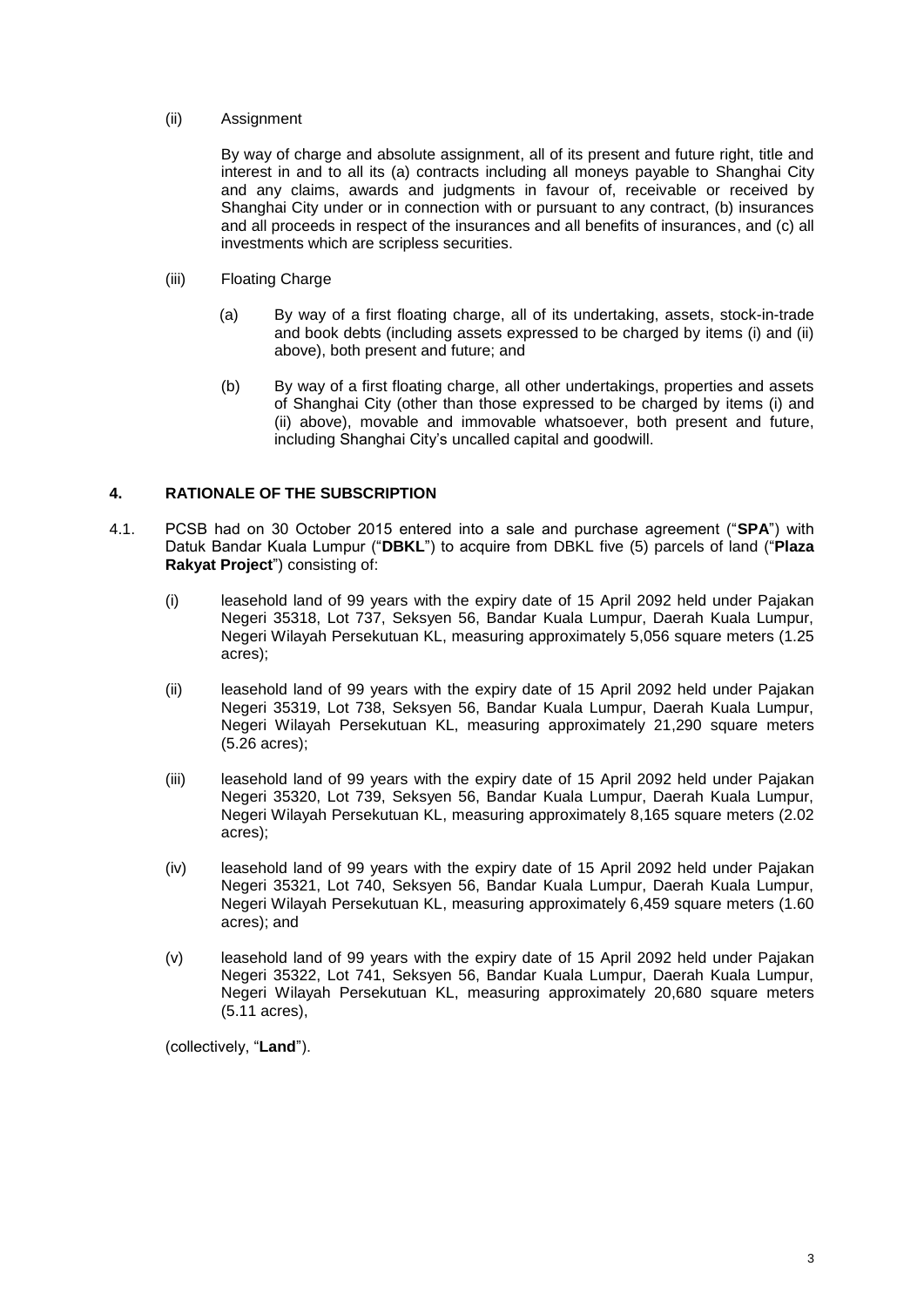## (ii) Assignment

By way of charge and absolute assignment, all of its present and future right, title and interest in and to all its (a) contracts including all moneys payable to Shanghai City and any claims, awards and judgments in favour of, receivable or received by Shanghai City under or in connection with or pursuant to any contract, (b) insurances and all proceeds in respect of the insurances and all benefits of insurances, and (c) all investments which are scripless securities.

- (iii) Floating Charge
	- (a) By way of a first floating charge, all of its undertaking, assets, stock-in-trade and book debts (including assets expressed to be charged by items (i) and (ii) above), both present and future; and
	- (b) By way of a first floating charge, all other undertakings, properties and assets of Shanghai City (other than those expressed to be charged by items (i) and (ii) above), movable and immovable whatsoever, both present and future, including Shanghai City's uncalled capital and goodwill.

## **4. RATIONALE OF THE SUBSCRIPTION**

- 4.1. PCSB had on 30 October 2015 entered into a sale and purchase agreement ("**SPA**") with Datuk Bandar Kuala Lumpur ("**DBKL**") to acquire from DBKL five (5) parcels of land ("**Plaza Rakyat Project**") consisting of:
	- (i) leasehold land of 99 years with the expiry date of 15 April 2092 held under Pajakan Negeri 35318, Lot 737, Seksyen 56, Bandar Kuala Lumpur, Daerah Kuala Lumpur, Negeri Wilayah Persekutuan KL, measuring approximately 5,056 square meters (1.25 acres);
	- (ii) leasehold land of 99 years with the expiry date of 15 April 2092 held under Pajakan Negeri 35319, Lot 738, Seksyen 56, Bandar Kuala Lumpur, Daerah Kuala Lumpur, Negeri Wilayah Persekutuan KL, measuring approximately 21,290 square meters (5.26 acres);
	- (iii) leasehold land of 99 years with the expiry date of 15 April 2092 held under Pajakan Negeri 35320, Lot 739, Seksyen 56, Bandar Kuala Lumpur, Daerah Kuala Lumpur, Negeri Wilayah Persekutuan KL, measuring approximately 8,165 square meters (2.02 acres);
	- (iv) leasehold land of 99 years with the expiry date of 15 April 2092 held under Pajakan Negeri 35321, Lot 740, Seksyen 56, Bandar Kuala Lumpur, Daerah Kuala Lumpur, Negeri Wilayah Persekutuan KL, measuring approximately 6,459 square meters (1.60 acres); and
	- (v) leasehold land of 99 years with the expiry date of 15 April 2092 held under Pajakan Negeri 35322, Lot 741, Seksyen 56, Bandar Kuala Lumpur, Daerah Kuala Lumpur, Negeri Wilayah Persekutuan KL, measuring approximately 20,680 square meters (5.11 acres),

(collectively, "**Land**").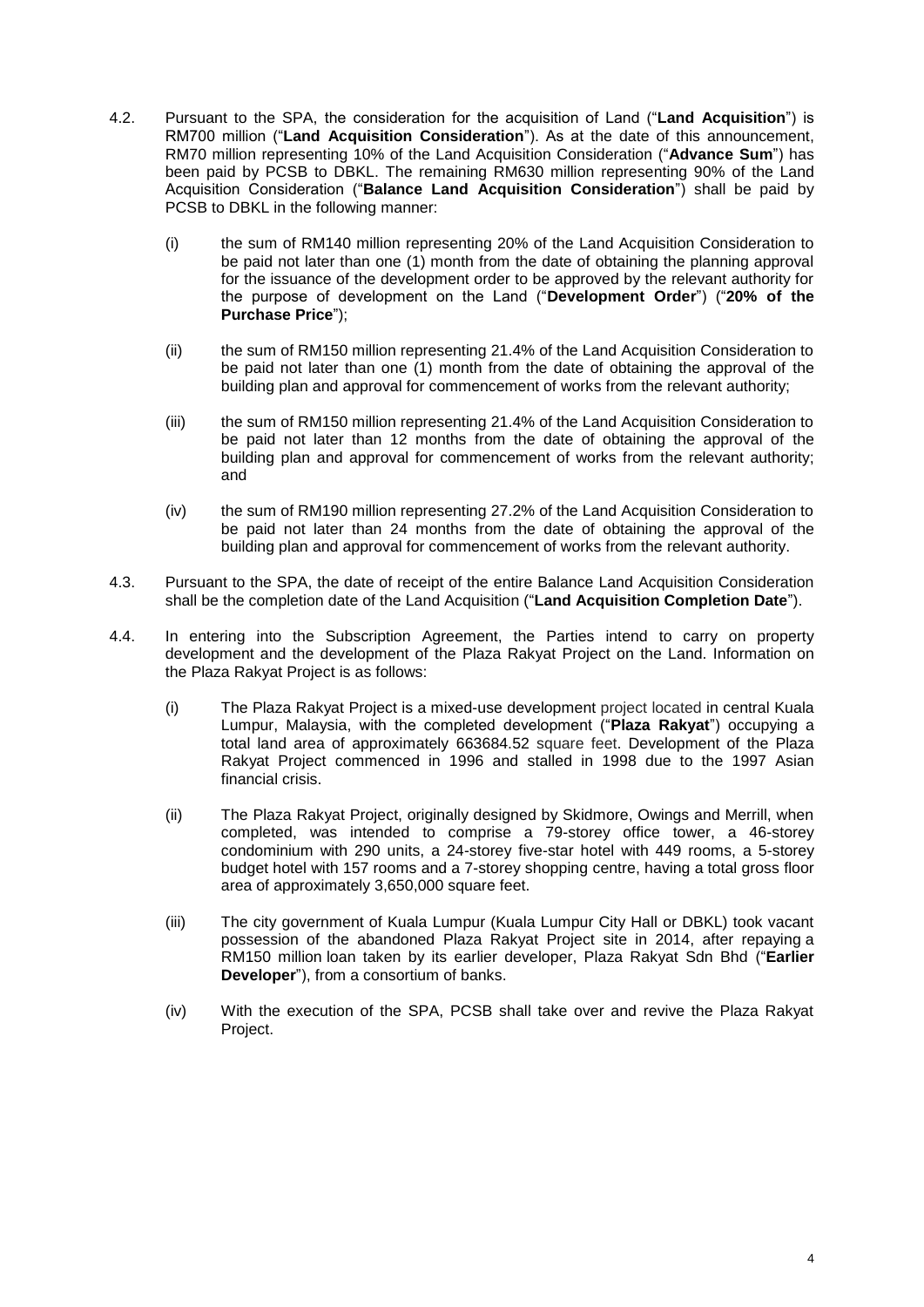- 4.2. Pursuant to the SPA, the consideration for the acquisition of Land ("**Land Acquisition**") is RM700 million ("**Land Acquisition Consideration**"). As at the date of this announcement, RM70 million representing 10% of the Land Acquisition Consideration ("**Advance Sum**") has been paid by PCSB to DBKL. The remaining RM630 million representing 90% of the Land Acquisition Consideration ("**Balance Land Acquisition Consideration**") shall be paid by PCSB to DBKL in the following manner:
	- (i) the sum of RM140 million representing 20% of the Land Acquisition Consideration to be paid not later than one (1) month from the date of obtaining the planning approval for the issuance of the development order to be approved by the relevant authority for the purpose of development on the Land ("**Development Order**") ("**20% of the Purchase Price**");
	- (ii) the sum of RM150 million representing 21.4% of the Land Acquisition Consideration to be paid not later than one (1) month from the date of obtaining the approval of the building plan and approval for commencement of works from the relevant authority;
	- (iii) the sum of RM150 million representing 21.4% of the Land Acquisition Consideration to be paid not later than 12 months from the date of obtaining the approval of the building plan and approval for commencement of works from the relevant authority; and
	- (iv) the sum of RM190 million representing 27.2% of the Land Acquisition Consideration to be paid not later than 24 months from the date of obtaining the approval of the building plan and approval for commencement of works from the relevant authority.
- 4.3. Pursuant to the SPA, the date of receipt of the entire Balance Land Acquisition Consideration shall be the completion date of the Land Acquisition ("**Land Acquisition Completion Date**").
- 4.4. In entering into the Subscription Agreement, the Parties intend to carry on property development and the development of the Plaza Rakyat Project on the Land. Information on the Plaza Rakyat Project is as follows:
	- (i) The Plaza Rakyat Project is a mixed-use development project located in central Kuala Lumpur, Malaysia, with the completed development ("**Plaza Rakyat**") occupying a total land area of approximately 663684.52 square feet. Development of the Plaza Rakyat Project commenced in 1996 and stalled in 1998 due to the 1997 Asian financial crisis.
	- (ii) The Plaza Rakyat Project, originally designed by Skidmore, Owings and Merrill, when completed, was intended to comprise a 79-storey office tower, a 46-storey condominium with 290 units, a 24-storey five-star hotel with 449 rooms, a 5-storey budget hotel with 157 rooms and a 7-storey shopping centre, having a total gross floor area of approximately 3,650,000 square feet.
	- (iii) The city government of Kuala Lumpur (Kuala Lumpur City Hall or DBKL) took vacant possession of the abandoned Plaza Rakyat Project site in 2014, after repaying a RM150 million loan taken by its earlier developer, Plaza Rakyat Sdn Bhd ("**Earlier Developer**"), from a consortium of banks.
	- (iv) With the execution of the SPA, PCSB shall take over and revive the Plaza Rakyat Project.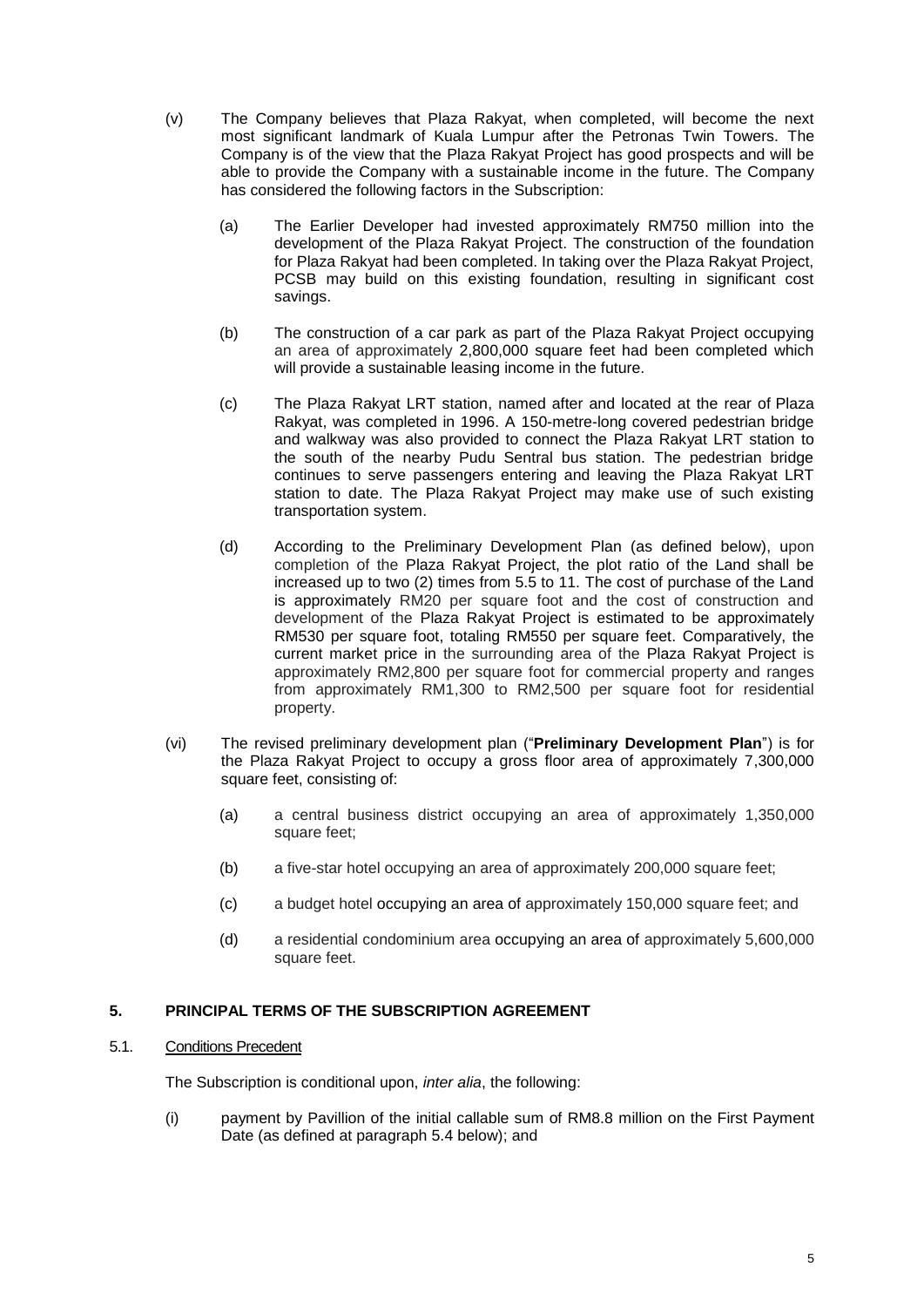- (v) The Company believes that Plaza Rakyat, when completed, will become the next most significant landmark of Kuala Lumpur after the Petronas Twin Towers. The Company is of the view that the Plaza Rakyat Project has good prospects and will be able to provide the Company with a sustainable income in the future. The Company has considered the following factors in the Subscription:
	- (a) The Earlier Developer had invested approximately RM750 million into the development of the Plaza Rakyat Project. The construction of the foundation for Plaza Rakyat had been completed. In taking over the Plaza Rakyat Project, PCSB may build on this existing foundation, resulting in significant cost savings.
	- (b) The construction of a car park as part of the Plaza Rakyat Project occupying an area of approximately 2,800,000 square feet had been completed which will provide a sustainable leasing income in the future.
	- (c) The Plaza Rakyat LRT station, named after and located at the rear of Plaza Rakyat, was completed in 1996. A 150-metre-long covered pedestrian bridge and walkway was also provided to connect the Plaza Rakyat LRT station to the south of the nearby Pudu Sentral bus station. The pedestrian bridge continues to serve passengers entering and leaving the Plaza Rakyat LRT station to date. The Plaza Rakyat Project may make use of such existing transportation system.
	- (d) According to the Preliminary Development Plan (as defined below), upon completion of the Plaza Rakyat Project, the plot ratio of the Land shall be increased up to two (2) times from 5.5 to 11. The cost of purchase of the Land is approximately RM20 per square foot and the cost of construction and development of the Plaza Rakyat Project is estimated to be approximately RM530 per square foot, totaling RM550 per square feet. Comparatively, the current market price in the surrounding area of the Plaza Rakyat Project is approximately RM2,800 per square foot for commercial property and ranges from approximately RM1,300 to RM2,500 per square foot for residential property.
- (vi) The revised preliminary development plan ("**Preliminary Development Plan**") is for the Plaza Rakyat Project to occupy a gross floor area of approximately 7,300,000 square feet, consisting of:
	- (a) a central business district occupying an area of approximately 1,350,000 square feet;
	- (b) a five-star hotel occupying an area of approximately 200,000 square feet;
	- (c) a budget hotel occupying an area of approximately 150,000 square feet; and
	- (d) a residential condominium area occupying an area of approximately 5,600,000 square feet.

## **5. PRINCIPAL TERMS OF THE SUBSCRIPTION AGREEMENT**

#### 5.1. Conditions Precedent

The Subscription is conditional upon, *inter alia*, the following:

(i) payment by Pavillion of the initial callable sum of RM8.8 million on the First Payment Date (as defined at paragraph 5.4 below); and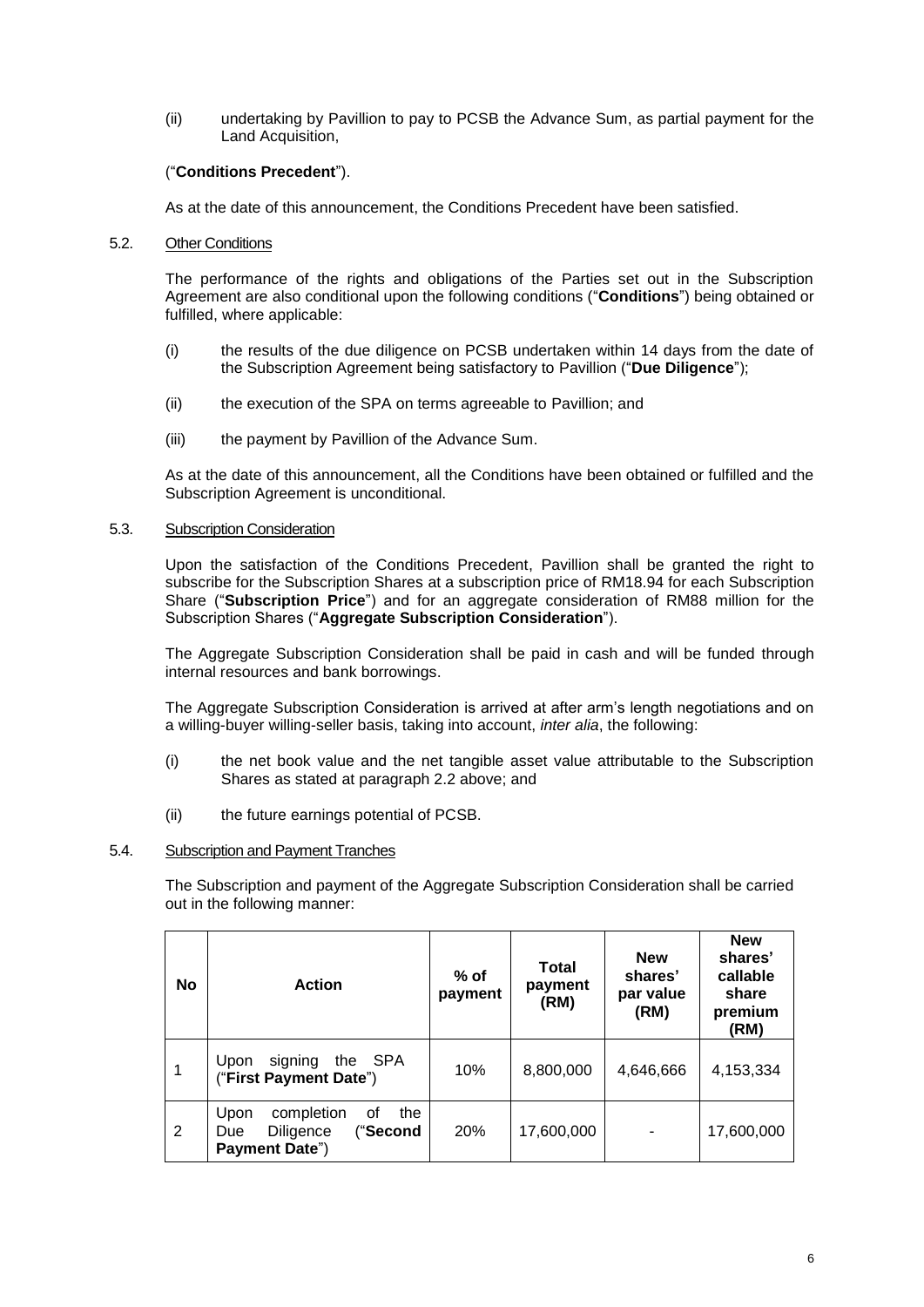(ii) undertaking by Pavillion to pay to PCSB the Advance Sum, as partial payment for the Land Acquisition,

## ("**Conditions Precedent**").

As at the date of this announcement, the Conditions Precedent have been satisfied.

### 5.2. Other Conditions

The performance of the rights and obligations of the Parties set out in the Subscription Agreement are also conditional upon the following conditions ("**Conditions**") being obtained or fulfilled, where applicable:

- (i) the results of the due diligence on PCSB undertaken within 14 days from the date of the Subscription Agreement being satisfactory to Pavillion ("**Due Diligence**");
- (ii) the execution of the SPA on terms agreeable to Pavillion; and
- (iii) the payment by Pavillion of the Advance Sum.

As at the date of this announcement, all the Conditions have been obtained or fulfilled and the Subscription Agreement is unconditional.

## 5.3. Subscription Consideration

Upon the satisfaction of the Conditions Precedent, Pavillion shall be granted the right to subscribe for the Subscription Shares at a subscription price of RM18.94 for each Subscription Share ("**Subscription Price**") and for an aggregate consideration of RM88 million for the Subscription Shares ("**Aggregate Subscription Consideration**").

The Aggregate Subscription Consideration shall be paid in cash and will be funded through internal resources and bank borrowings.

The Aggregate Subscription Consideration is arrived at after arm's length negotiations and on a willing-buyer willing-seller basis, taking into account, *inter alia*, the following:

- (i) the net book value and the net tangible asset value attributable to the Subscription Shares as stated at paragraph 2.2 above; and
- (ii) the future earnings potential of PCSB.

### 5.4. Subscription and Payment Tranches

The Subscription and payment of the Aggregate Subscription Consideration shall be carried out in the following manner:

| <b>No</b> | <b>Action</b>                                                                     | $%$ of<br>payment | Total<br>payment<br>(RM) | <b>New</b><br>shares'<br>par value<br>(RM) | <b>New</b><br>shares'<br>callable<br>share<br>premium<br>(RM) |
|-----------|-----------------------------------------------------------------------------------|-------------------|--------------------------|--------------------------------------------|---------------------------------------------------------------|
| 1         | the SPA<br>signing<br>Upon<br>("First Payment Date")                              | 10%               | 8,800,000                | 4,646,666                                  | 4,153,334                                                     |
| 2         | completion<br>οf<br>the<br>Upon<br>("Second<br>Diligence<br>Due<br>Payment Date") | 20%               | 17,600,000               |                                            | 17,600,000                                                    |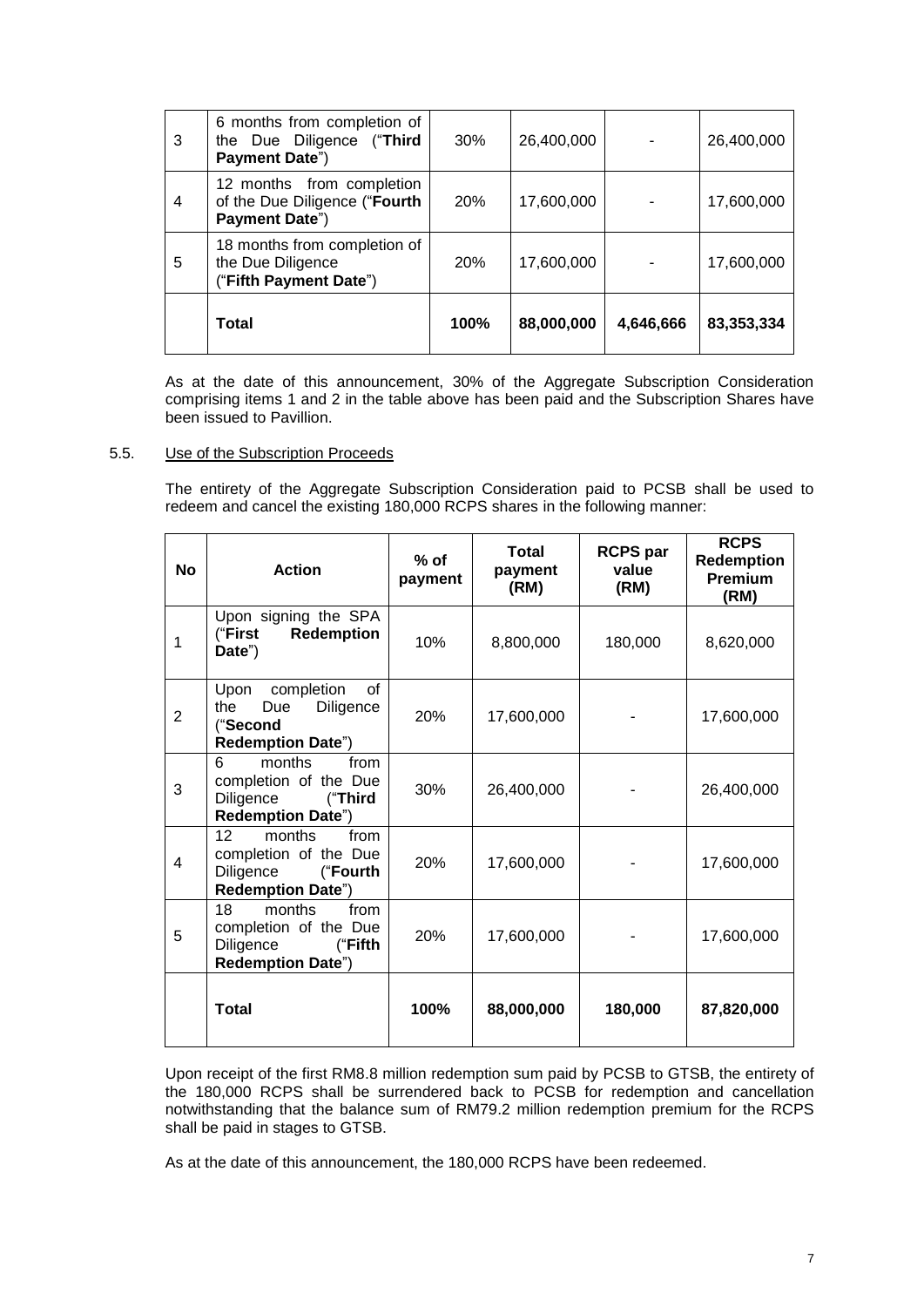| $\mathbf{3}$   | 6 months from completion of<br>the Due Diligence ("Third<br>Payment Date")   | 30%  | 26,400,000 |           | 26,400,000 |
|----------------|------------------------------------------------------------------------------|------|------------|-----------|------------|
| $\overline{4}$ | 12 months from completion<br>of the Due Diligence ("Fourth<br>Payment Date") | 20%  | 17,600,000 |           | 17,600,000 |
| 5              | 18 months from completion of<br>the Due Diligence<br>("Fifth Payment Date")  | 20%  | 17,600,000 |           | 17,600,000 |
|                | Total                                                                        | 100% | 88,000,000 | 4,646,666 | 83,353,334 |

As at the date of this announcement, 30% of the Aggregate Subscription Consideration comprising items 1 and 2 in the table above has been paid and the Subscription Shares have been issued to Pavillion.

## 5.5. Use of the Subscription Proceeds

The entirety of the Aggregate Subscription Consideration paid to PCSB shall be used to redeem and cancel the existing 180,000 RCPS shares in the following manner:

| No             | <b>Action</b>                                                                                      | $%$ of<br>payment | Total<br>payment<br>(RM) | <b>RCPS</b> par<br>value<br>(RM) | <b>RCPS</b><br><b>Redemption</b><br>Premium<br>(RM) |
|----------------|----------------------------------------------------------------------------------------------------|-------------------|--------------------------|----------------------------------|-----------------------------------------------------|
| 1              | Upon signing the SPA<br><b>Redemption</b><br>("First<br>Date")                                     | 10%               | 8,800,000                | 180,000                          | 8,620,000                                           |
| $\overline{2}$ | of<br>completion<br>Upon<br>Diligence<br>the<br>Due<br>("Second<br><b>Redemption Date")</b>        | 20%               | 17,600,000               |                                  | 17,600,000                                          |
| 3              | months<br>from<br>6<br>completion of the Due<br>Diligence<br>("Third<br><b>Redemption Date")</b>   | 30%               | 26,400,000               |                                  | 26,400,000                                          |
| 4              | months<br>12<br>from<br>completion of the Due<br>Diligence<br>("Fourth<br><b>Redemption Date")</b> | 20%               | 17,600,000               |                                  | 17,600,000                                          |
| 5              | 18<br>months<br>from<br>completion of the Due<br>Diligence<br>("Fifth<br><b>Redemption Date")</b>  | 20%               | 17,600,000               |                                  | 17,600,000                                          |
|                | <b>Total</b>                                                                                       | 100%              | 88,000,000               | 180,000                          | 87,820,000                                          |

Upon receipt of the first RM8.8 million redemption sum paid by PCSB to GTSB, the entirety of the 180,000 RCPS shall be surrendered back to PCSB for redemption and cancellation notwithstanding that the balance sum of RM79.2 million redemption premium for the RCPS shall be paid in stages to GTSB.

As at the date of this announcement, the 180,000 RCPS have been redeemed.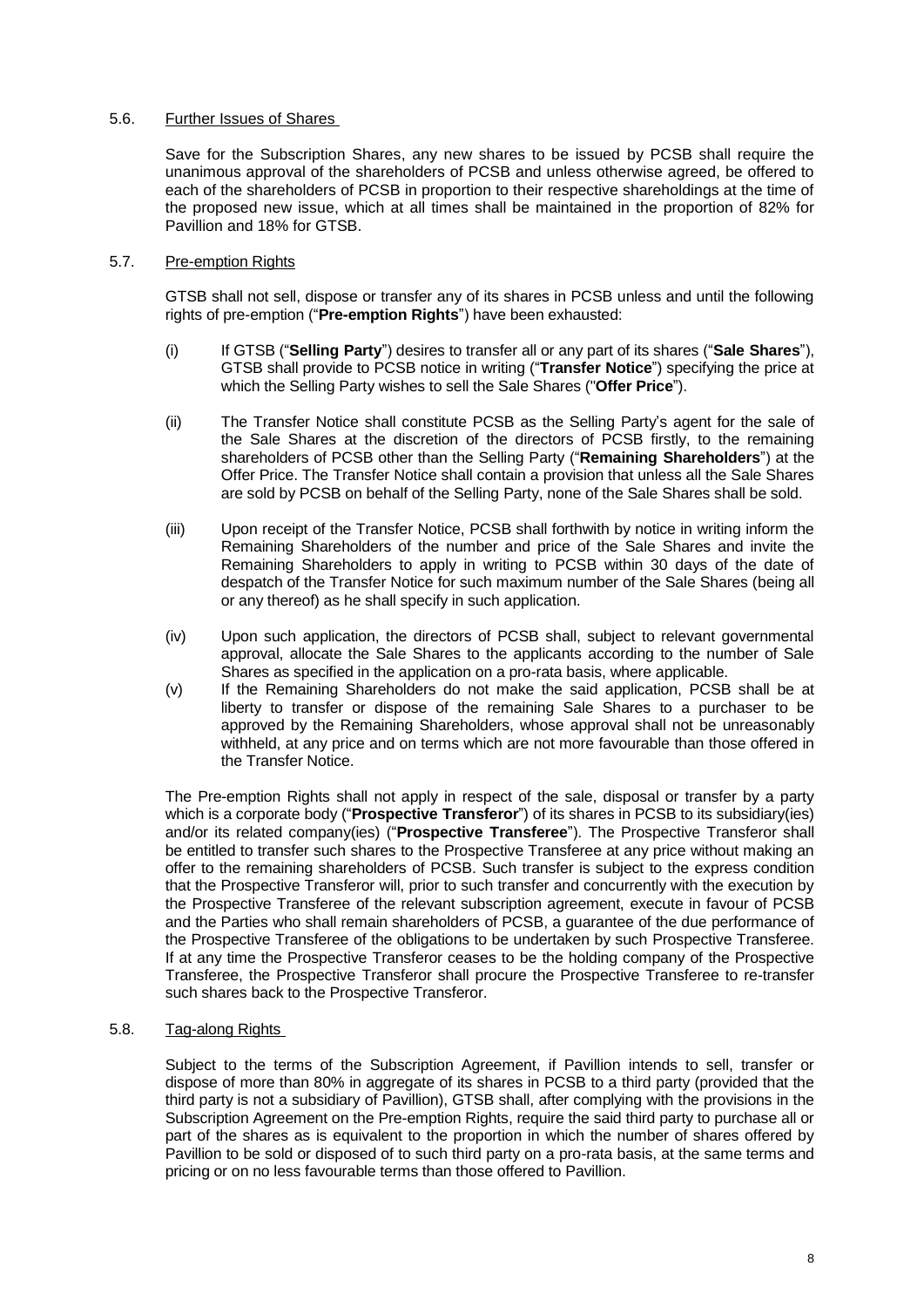## 5.6. Further Issues of Shares

Save for the Subscription Shares, any new shares to be issued by PCSB shall require the unanimous approval of the shareholders of PCSB and unless otherwise agreed, be offered to each of the shareholders of PCSB in proportion to their respective shareholdings at the time of the proposed new issue, which at all times shall be maintained in the proportion of 82% for Pavillion and 18% for GTSB.

## 5.7. Pre-emption Rights

GTSB shall not sell, dispose or transfer any of its shares in PCSB unless and until the following rights of pre-emption ("**Pre-emption Rights**") have been exhausted:

- (i) If GTSB ("**Selling Party**") desires to transfer all or any part of its shares ("**Sale Shares**"), GTSB shall provide to PCSB notice in writing ("**Transfer Notice**") specifying the price at which the Selling Party wishes to sell the Sale Shares ("**Offer Price**").
- (ii) The Transfer Notice shall constitute PCSB as the Selling Party's agent for the sale of the Sale Shares at the discretion of the directors of PCSB firstly, to the remaining shareholders of PCSB other than the Selling Party ("**Remaining Shareholders**") at the Offer Price. The Transfer Notice shall contain a provision that unless all the Sale Shares are sold by PCSB on behalf of the Selling Party, none of the Sale Shares shall be sold.
- (iii) Upon receipt of the Transfer Notice, PCSB shall forthwith by notice in writing inform the Remaining Shareholders of the number and price of the Sale Shares and invite the Remaining Shareholders to apply in writing to PCSB within 30 days of the date of despatch of the Transfer Notice for such maximum number of the Sale Shares (being all or any thereof) as he shall specify in such application.
- (iv) Upon such application, the directors of PCSB shall, subject to relevant governmental approval, allocate the Sale Shares to the applicants according to the number of Sale Shares as specified in the application on a pro-rata basis, where applicable.
- (v) If the Remaining Shareholders do not make the said application, PCSB shall be at liberty to transfer or dispose of the remaining Sale Shares to a purchaser to be approved by the Remaining Shareholders, whose approval shall not be unreasonably withheld, at any price and on terms which are not more favourable than those offered in the Transfer Notice.

The Pre-emption Rights shall not apply in respect of the sale, disposal or transfer by a party which is a corporate body ("**Prospective Transferor**") of its shares in PCSB to its subsidiary(ies) and/or its related company(ies) ("**Prospective Transferee**"). The Prospective Transferor shall be entitled to transfer such shares to the Prospective Transferee at any price without making an offer to the remaining shareholders of PCSB. Such transfer is subject to the express condition that the Prospective Transferor will, prior to such transfer and concurrently with the execution by the Prospective Transferee of the relevant subscription agreement, execute in favour of PCSB and the Parties who shall remain shareholders of PCSB, a guarantee of the due performance of the Prospective Transferee of the obligations to be undertaken by such Prospective Transferee. If at any time the Prospective Transferor ceases to be the holding company of the Prospective Transferee, the Prospective Transferor shall procure the Prospective Transferee to re-transfer such shares back to the Prospective Transferor.

#### 5.8. Tag-along Rights

Subject to the terms of the Subscription Agreement, if Pavillion intends to sell, transfer or dispose of more than 80% in aggregate of its shares in PCSB to a third party (provided that the third party is not a subsidiary of Pavillion), GTSB shall, after complying with the provisions in the Subscription Agreement on the Pre-emption Rights, require the said third party to purchase all or part of the shares as is equivalent to the proportion in which the number of shares offered by Pavillion to be sold or disposed of to such third party on a pro-rata basis, at the same terms and pricing or on no less favourable terms than those offered to Pavillion.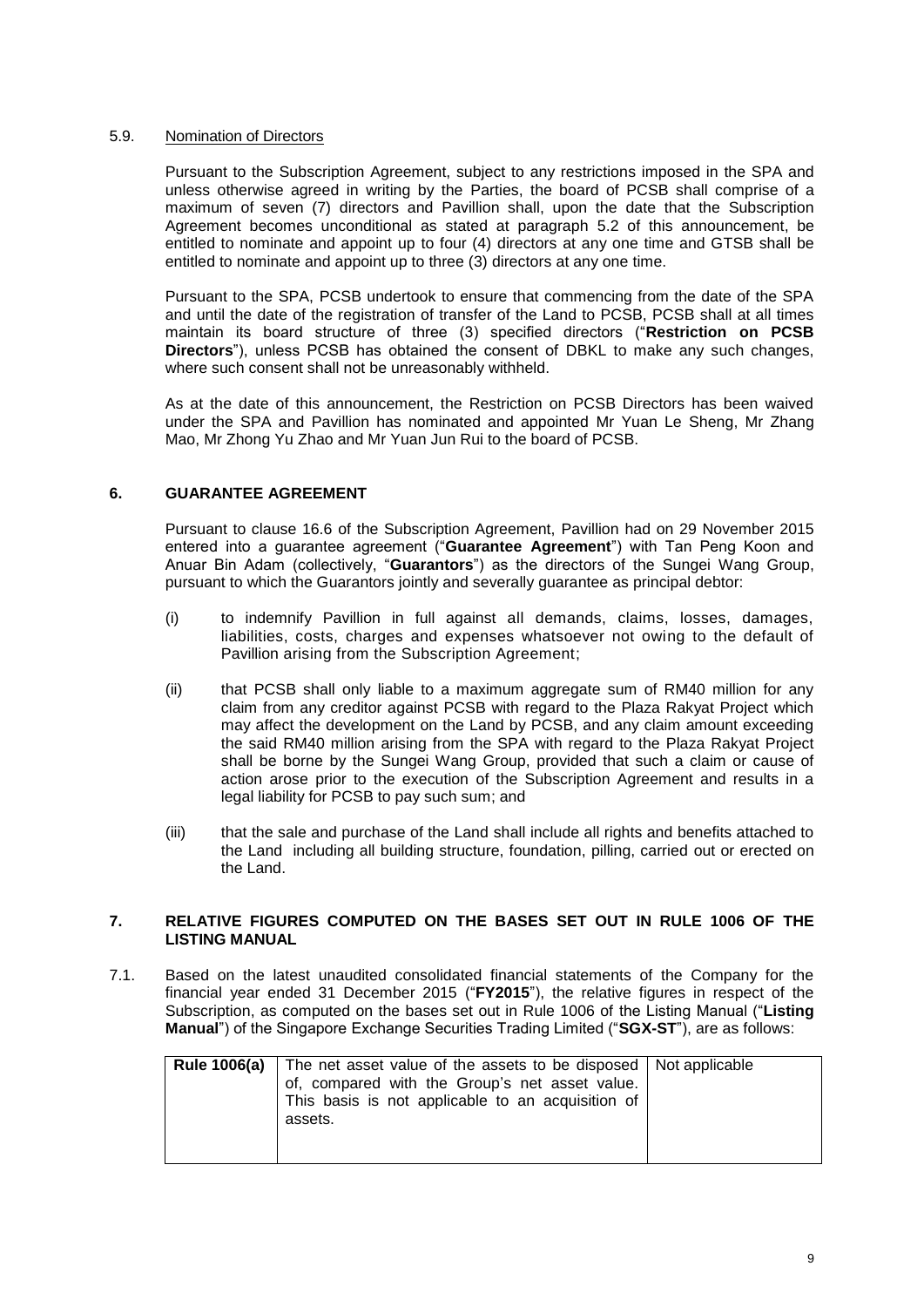### 5.9. Nomination of Directors

Pursuant to the Subscription Agreement, subject to any restrictions imposed in the SPA and unless otherwise agreed in writing by the Parties, the board of PCSB shall comprise of a maximum of seven (7) directors and Pavillion shall, upon the date that the Subscription Agreement becomes unconditional as stated at paragraph 5.2 of this announcement, be entitled to nominate and appoint up to four (4) directors at any one time and GTSB shall be entitled to nominate and appoint up to three (3) directors at any one time.

Pursuant to the SPA, PCSB undertook to ensure that commencing from the date of the SPA and until the date of the registration of transfer of the Land to PCSB, PCSB shall at all times maintain its board structure of three (3) specified directors ("**Restriction on PCSB Directors**"), unless PCSB has obtained the consent of DBKL to make any such changes, where such consent shall not be unreasonably withheld.

As at the date of this announcement, the Restriction on PCSB Directors has been waived under the SPA and Pavillion has nominated and appointed Mr Yuan Le Sheng, Mr Zhang Mao, Mr Zhong Yu Zhao and Mr Yuan Jun Rui to the board of PCSB.

## **6. GUARANTEE AGREEMENT**

Pursuant to clause 16.6 of the Subscription Agreement, Pavillion had on 29 November 2015 entered into a guarantee agreement ("**Guarantee Agreement**") with Tan Peng Koon and Anuar Bin Adam (collectively, "**Guarantors**") as the directors of the Sungei Wang Group, pursuant to which the Guarantors jointly and severally guarantee as principal debtor:

- (i) to indemnify Pavillion in full against all demands, claims, losses, damages, liabilities, costs, charges and expenses whatsoever not owing to the default of Pavillion arising from the Subscription Agreement;
- (ii) that PCSB shall only liable to a maximum aggregate sum of RM40 million for any claim from any creditor against PCSB with regard to the Plaza Rakyat Project which may affect the development on the Land by PCSB, and any claim amount exceeding the said RM40 million arising from the SPA with regard to the Plaza Rakyat Project shall be borne by the Sungei Wang Group, provided that such a claim or cause of action arose prior to the execution of the Subscription Agreement and results in a legal liability for PCSB to pay such sum; and
- (iii) that the sale and purchase of the Land shall include all rights and benefits attached to the Land including all building structure, foundation, pilling, carried out or erected on the Land.

## **7. RELATIVE FIGURES COMPUTED ON THE BASES SET OUT IN RULE 1006 OF THE LISTING MANUAL**

7.1. Based on the latest unaudited consolidated financial statements of the Company for the financial year ended 31 December 2015 ("**FY2015**"), the relative figures in respect of the Subscription, as computed on the bases set out in Rule 1006 of the Listing Manual ("**Listing Manual**") of the Singapore Exchange Securities Trading Limited ("**SGX-ST**"), are as follows:

| <b>Rule 1006(a)</b> The net asset value of the assets to be disposed   Not applicable<br>of, compared with the Group's net asset value.<br>This basis is not applicable to an acquisition of |  |
|----------------------------------------------------------------------------------------------------------------------------------------------------------------------------------------------|--|
| assets.                                                                                                                                                                                      |  |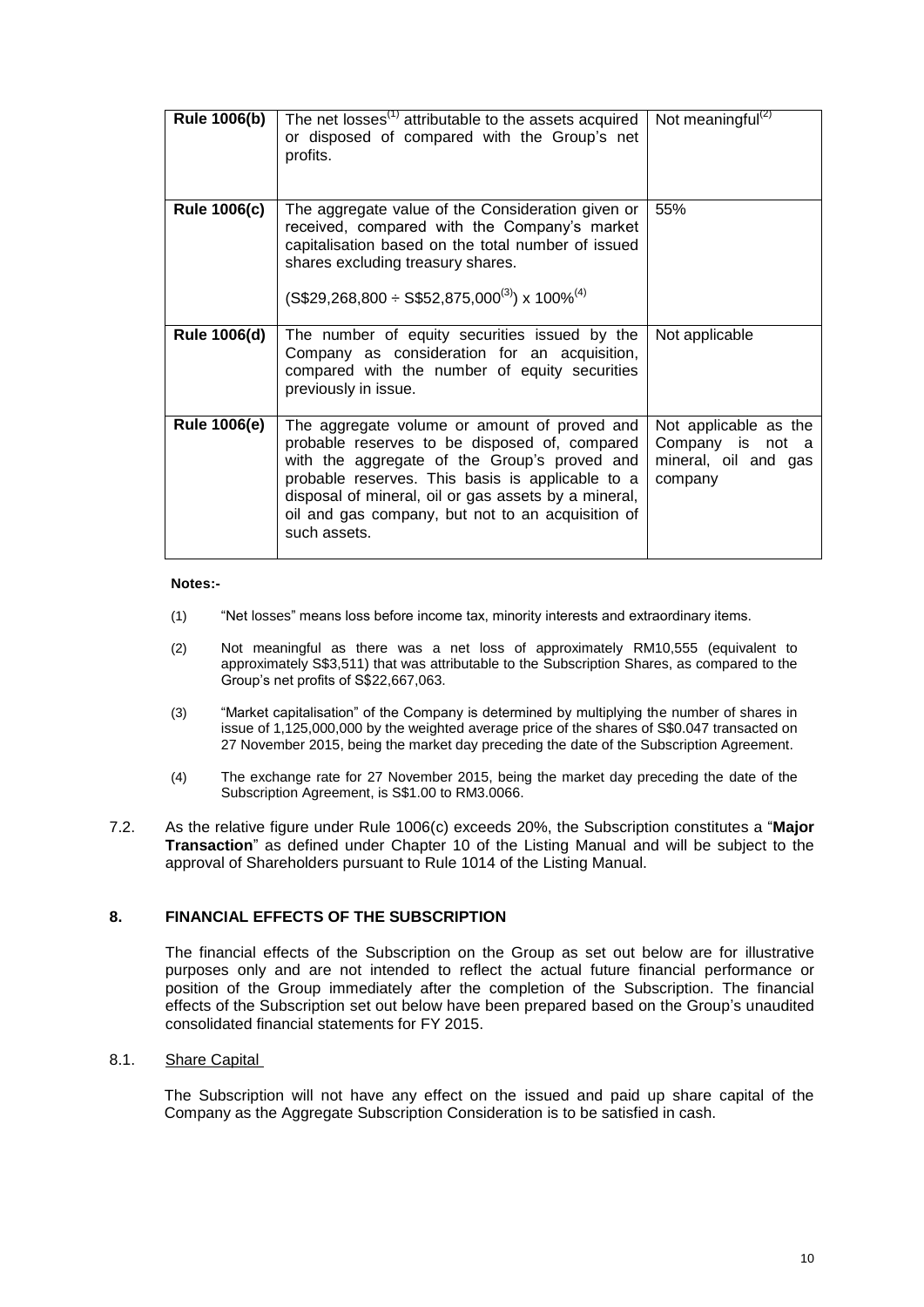| <b>Rule 1006(b)</b> | The net losses <sup>(1)</sup> attributable to the assets acquired<br>or disposed of compared with the Group's net<br>profits.                                                                                                                                                                                                  | Not meaningful $^{(2)}$                                                      |
|---------------------|--------------------------------------------------------------------------------------------------------------------------------------------------------------------------------------------------------------------------------------------------------------------------------------------------------------------------------|------------------------------------------------------------------------------|
| <b>Rule 1006(c)</b> | The aggregate value of the Consideration given or<br>received, compared with the Company's market<br>capitalisation based on the total number of issued<br>shares excluding treasury shares.<br>$(S$29,268,800 \div S$52,875,000^{(3)}) \times 100\%^{(4)}$                                                                    | 55%                                                                          |
| <b>Rule 1006(d)</b> | The number of equity securities issued by the<br>Company as consideration for an acquisition,<br>compared with the number of equity securities<br>previously in issue.                                                                                                                                                         | Not applicable                                                               |
| <b>Rule 1006(e)</b> | The aggregate volume or amount of proved and<br>probable reserves to be disposed of, compared<br>with the aggregate of the Group's proved and<br>probable reserves. This basis is applicable to a<br>disposal of mineral, oil or gas assets by a mineral,<br>oil and gas company, but not to an acquisition of<br>such assets. | Not applicable as the<br>Company is not a<br>mineral, oil and gas<br>company |

#### **Notes:-**

- (1) "Net losses" means loss before income tax, minority interests and extraordinary items.
- (2) Not meaningful as there was a net loss of approximately RM10,555 (equivalent to approximately S\$3,511) that was attributable to the Subscription Shares, as compared to the Group's net profits of S\$22,667,063.
- (3) "Market capitalisation" of the Company is determined by multiplying the number of shares in issue of 1,125,000,000 by the weighted average price of the shares of S\$0.047 transacted on 27 November 2015, being the market day preceding the date of the Subscription Agreement.
- (4) The exchange rate for 27 November 2015, being the market day preceding the date of the Subscription Agreement, is S\$1.00 to RM3.0066.
- 7.2. As the relative figure under Rule 1006(c) exceeds 20%, the Subscription constitutes a "**Major Transaction**" as defined under Chapter 10 of the Listing Manual and will be subject to the approval of Shareholders pursuant to Rule 1014 of the Listing Manual.

## **8. FINANCIAL EFFECTS OF THE SUBSCRIPTION**

The financial effects of the Subscription on the Group as set out below are for illustrative purposes only and are not intended to reflect the actual future financial performance or position of the Group immediately after the completion of the Subscription. The financial effects of the Subscription set out below have been prepared based on the Group's unaudited consolidated financial statements for FY 2015.

#### 8.1. Share Capital

The Subscription will not have any effect on the issued and paid up share capital of the Company as the Aggregate Subscription Consideration is to be satisfied in cash.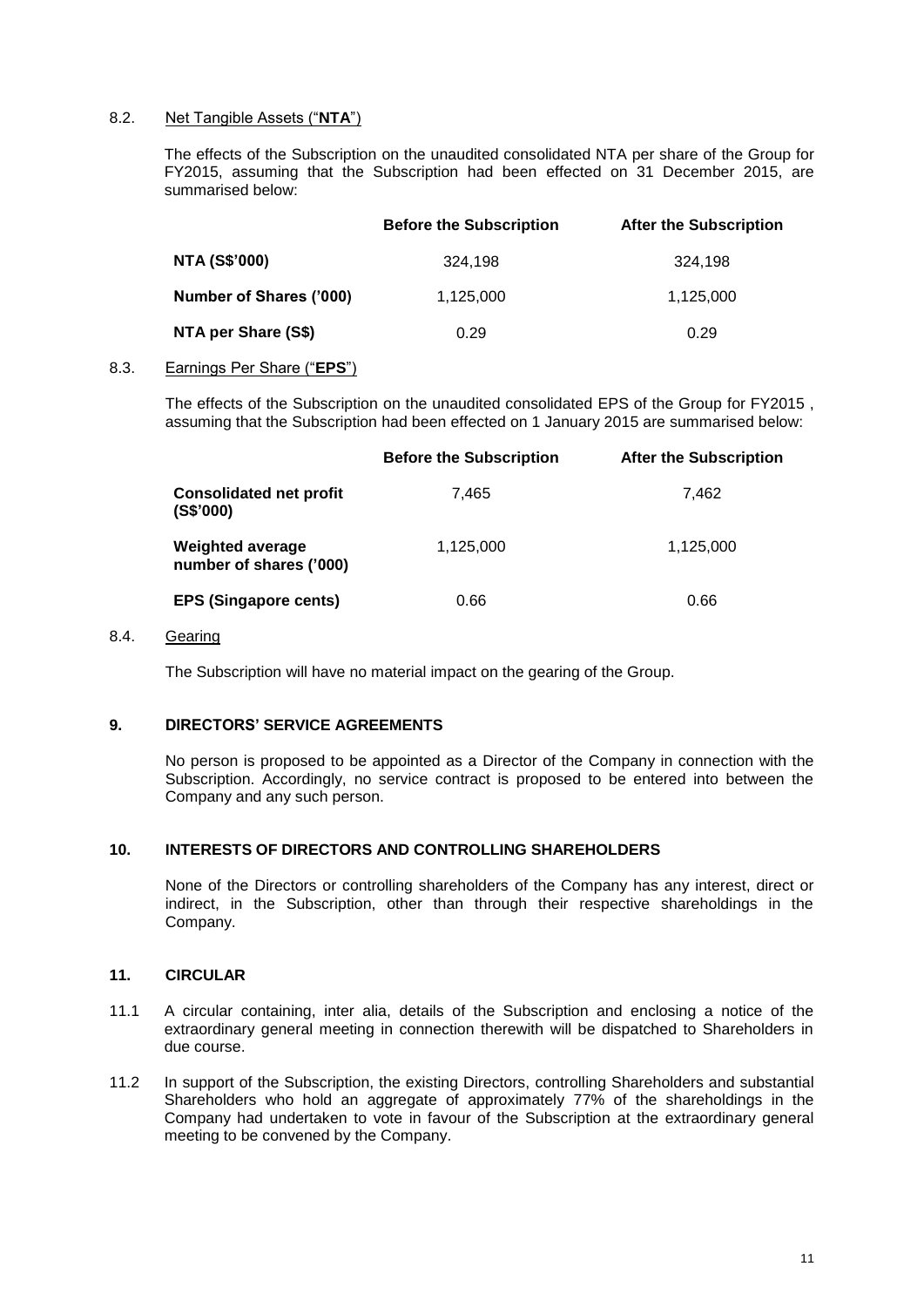## 8.2. Net Tangible Assets ("**NTA**")

The effects of the Subscription on the unaudited consolidated NTA per share of the Group for FY2015, assuming that the Subscription had been effected on 31 December 2015, are summarised below:

|                                | <b>Before the Subscription</b> | <b>After the Subscription</b> |
|--------------------------------|--------------------------------|-------------------------------|
| <b>NTA (S\$'000)</b>           | 324.198                        | 324.198                       |
| <b>Number of Shares ('000)</b> | 1,125,000                      | 1,125,000                     |
| NTA per Share (S\$)            | 0.29                           | 0.29                          |

## 8.3. Earnings Per Share ("**EPS**")

The effects of the Subscription on the unaudited consolidated EPS of the Group for FY2015 , assuming that the Subscription had been effected on 1 January 2015 are summarised below:

|                                                    | <b>Before the Subscription</b> | <b>After the Subscription</b> |
|----------------------------------------------------|--------------------------------|-------------------------------|
| <b>Consolidated net profit</b><br>(S\$'000)        | 7.465                          | 7.462                         |
| <b>Weighted average</b><br>number of shares ('000) | 1,125,000                      | 1,125,000                     |
| <b>EPS (Singapore cents)</b>                       | 0.66                           | 0.66                          |

## 8.4. Gearing

The Subscription will have no material impact on the gearing of the Group.

## **9. DIRECTORS' SERVICE AGREEMENTS**

No person is proposed to be appointed as a Director of the Company in connection with the Subscription. Accordingly, no service contract is proposed to be entered into between the Company and any such person.

#### **10. INTERESTS OF DIRECTORS AND CONTROLLING SHAREHOLDERS**

None of the Directors or controlling shareholders of the Company has any interest, direct or indirect, in the Subscription, other than through their respective shareholdings in the Company.

### **11. CIRCULAR**

- 11.1 A circular containing, inter alia, details of the Subscription and enclosing a notice of the extraordinary general meeting in connection therewith will be dispatched to Shareholders in due course.
- 11.2 In support of the Subscription, the existing Directors, controlling Shareholders and substantial Shareholders who hold an aggregate of approximately 77% of the shareholdings in the Company had undertaken to vote in favour of the Subscription at the extraordinary general meeting to be convened by the Company.